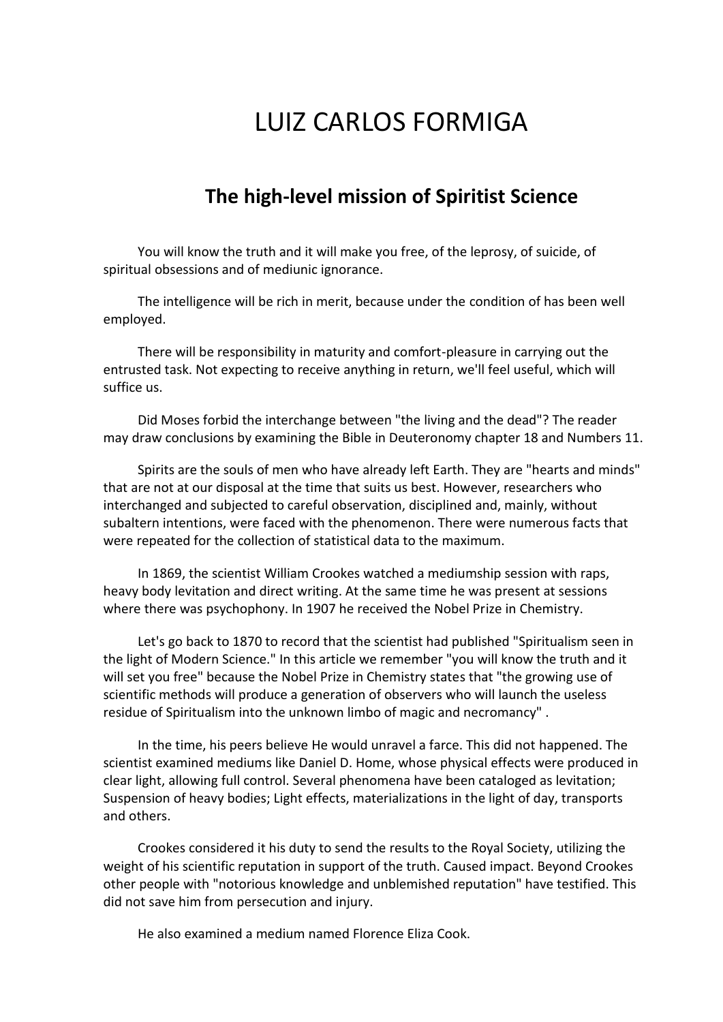## LUIZ CARLOS FORMIGA

## **The high-level mission of Spiritist Science**

You will know the truth and it will make you free, of the leprosy, of suicide, of spiritual obsessions and of mediunic ignorance.

The intelligence will be rich in merit, because under the condition of has been well employed.

There will be responsibility in maturity and comfort-pleasure in carrying out the entrusted task. Not expecting to receive anything in return, we'll feel useful, which will suffice us.

Did Moses forbid the interchange between "the living and the dead"? The reader may draw conclusions by examining the Bible in Deuteronomy chapter 18 and Numbers 11.

Spirits are the souls of men who have already left Earth. They are "hearts and minds" that are not at our disposal at the time that suits us best. However, researchers who interchanged and subjected to careful observation, disciplined and, mainly, without subaltern intentions, were faced with the phenomenon. There were numerous facts that were repeated for the collection of statistical data to the maximum.

In 1869, the scientist William Crookes watched a mediumship session with raps, heavy body levitation and direct writing. At the same time he was present at sessions where there was psychophony. In 1907 he received the Nobel Prize in Chemistry.

Let's go back to 1870 to record that the scientist had published "Spiritualism seen in the light of Modern Science." In this article we remember "you will know the truth and it will set you free" because the Nobel Prize in Chemistry states that "the growing use of scientific methods will produce a generation of observers who will launch the useless residue of Spiritualism into the unknown limbo of magic and necromancy" .

In the time, his peers believe He would unravel a farce. This did not happened. The scientist examined mediums like Daniel D. Home, whose physical effects were produced in clear light, allowing full control. Several phenomena have been cataloged as levitation; Suspension of heavy bodies; Light effects, materializations in the light of day, transports and others.

Crookes considered it his duty to send the results to the Royal Society, utilizing the weight of his scientific reputation in support of the truth. Caused impact. Beyond Crookes other people with "notorious knowledge and unblemished reputation" have testified. This did not save him from persecution and injury.

He also examined a medium named Florence Eliza Cook.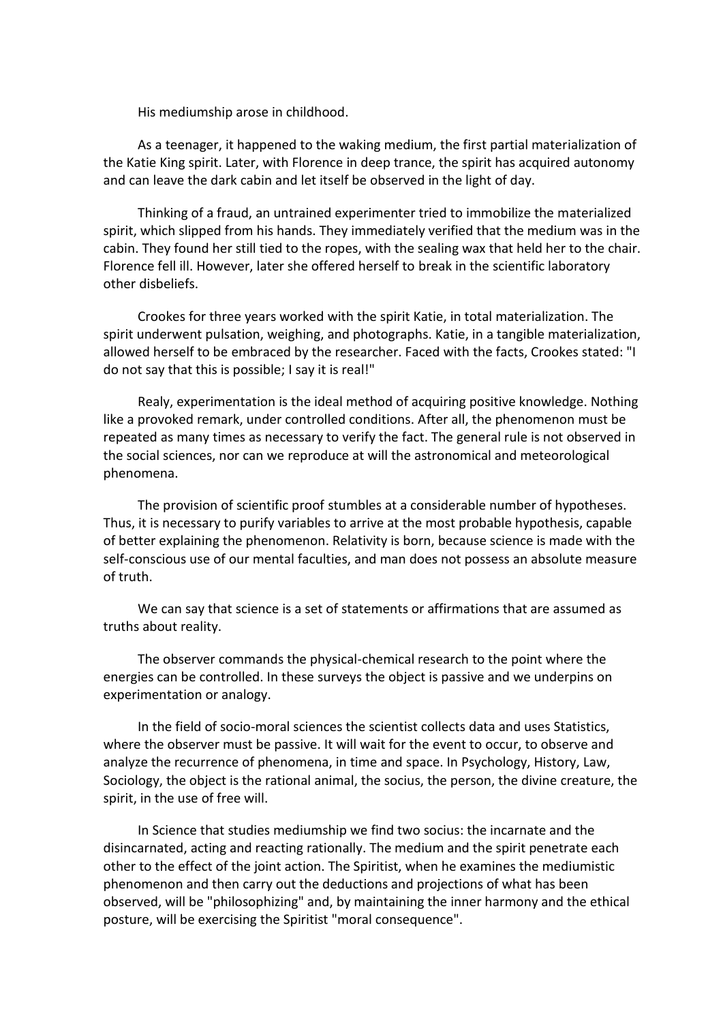His mediumship arose in childhood.

As a teenager, it happened to the waking medium, the first partial materialization of the Katie King spirit. Later, with Florence in deep trance, the spirit has acquired autonomy and can leave the dark cabin and let itself be observed in the light of day.

Thinking of a fraud, an untrained experimenter tried to immobilize the materialized spirit, which slipped from his hands. They immediately verified that the medium was in the cabin. They found her still tied to the ropes, with the sealing wax that held her to the chair. Florence fell ill. However, later she offered herself to break in the scientific laboratory other disbeliefs.

Crookes for three years worked with the spirit Katie, in total materialization. The spirit underwent pulsation, weighing, and photographs. Katie, in a tangible materialization, allowed herself to be embraced by the researcher. Faced with the facts, Crookes stated: "I do not say that this is possible; I say it is real!"

Realy, experimentation is the ideal method of acquiring positive knowledge. Nothing like a provoked remark, under controlled conditions. After all, the phenomenon must be repeated as many times as necessary to verify the fact. The general rule is not observed in the social sciences, nor can we reproduce at will the astronomical and meteorological phenomena.

The provision of scientific proof stumbles at a considerable number of hypotheses. Thus, it is necessary to purify variables to arrive at the most probable hypothesis, capable of better explaining the phenomenon. Relativity is born, because science is made with the self-conscious use of our mental faculties, and man does not possess an absolute measure of truth.

We can say that science is a set of statements or affirmations that are assumed as truths about reality.

The observer commands the physical-chemical research to the point where the energies can be controlled. In these surveys the object is passive and we underpins on experimentation or analogy.

In the field of socio-moral sciences the scientist collects data and uses Statistics, where the observer must be passive. It will wait for the event to occur, to observe and analyze the recurrence of phenomena, in time and space. In Psychology, History, Law, Sociology, the object is the rational animal, the socius, the person, the divine creature, the spirit, in the use of free will.

In Science that studies mediumship we find two socius: the incarnate and the disincarnated, acting and reacting rationally. The medium and the spirit penetrate each other to the effect of the joint action. The Spiritist, when he examines the mediumistic phenomenon and then carry out the deductions and projections of what has been observed, will be "philosophizing" and, by maintaining the inner harmony and the ethical posture, will be exercising the Spiritist "moral consequence".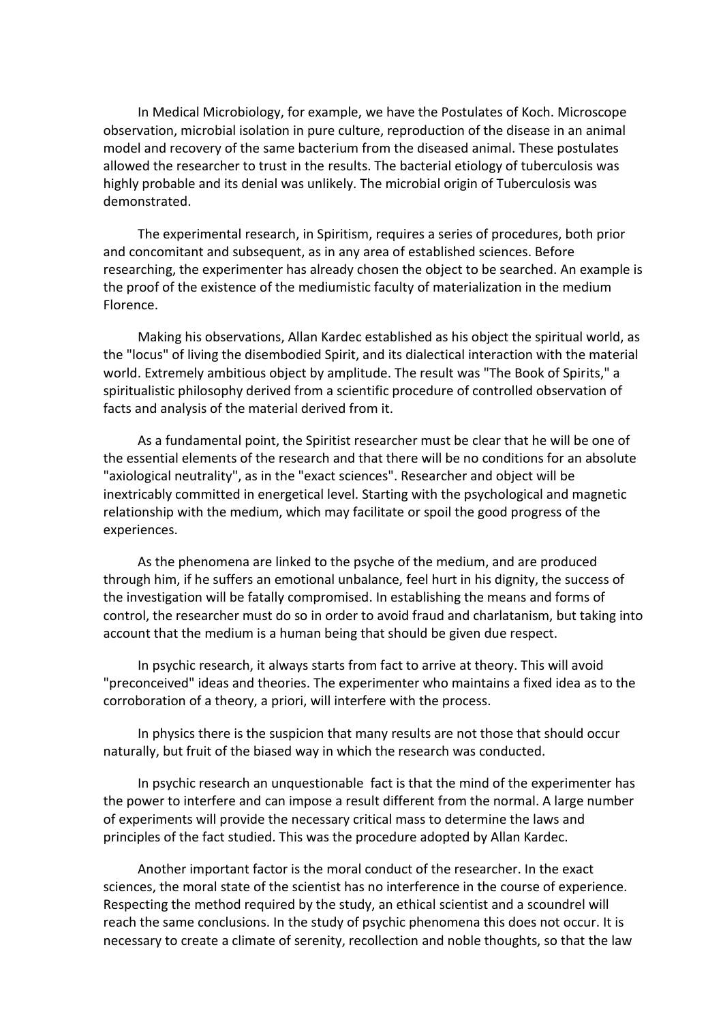In Medical Microbiology, for example, we have the Postulates of Koch. Microscope observation, microbial isolation in pure culture, reproduction of the disease in an animal model and recovery of the same bacterium from the diseased animal. These postulates allowed the researcher to trust in the results. The bacterial etiology of tuberculosis was highly probable and its denial was unlikely. The microbial origin of Tuberculosis was demonstrated.

The experimental research, in Spiritism, requires a series of procedures, both prior and concomitant and subsequent, as in any area of established sciences. Before researching, the experimenter has already chosen the object to be searched. An example is the proof of the existence of the mediumistic faculty of materialization in the medium Florence.

Making his observations, Allan Kardec established as his object the spiritual world, as the "locus" of living the disembodied Spirit, and its dialectical interaction with the material world. Extremely ambitious object by amplitude. The result was "The Book of Spirits," a spiritualistic philosophy derived from a scientific procedure of controlled observation of facts and analysis of the material derived from it.

As a fundamental point, the Spiritist researcher must be clear that he will be one of the essential elements of the research and that there will be no conditions for an absolute "axiological neutrality", as in the "exact sciences". Researcher and object will be inextricably committed in energetical level. Starting with the psychological and magnetic relationship with the medium, which may facilitate or spoil the good progress of the experiences.

As the phenomena are linked to the psyche of the medium, and are produced through him, if he suffers an emotional unbalance, feel hurt in his dignity, the success of the investigation will be fatally compromised. In establishing the means and forms of control, the researcher must do so in order to avoid fraud and charlatanism, but taking into account that the medium is a human being that should be given due respect.

In psychic research, it always starts from fact to arrive at theory. This will avoid "preconceived" ideas and theories. The experimenter who maintains a fixed idea as to the corroboration of a theory, a priori, will interfere with the process.

In physics there is the suspicion that many results are not those that should occur naturally, but fruit of the biased way in which the research was conducted.

In psychic research an unquestionable fact is that the mind of the experimenter has the power to interfere and can impose a result different from the normal. A large number of experiments will provide the necessary critical mass to determine the laws and principles of the fact studied. This was the procedure adopted by Allan Kardec.

Another important factor is the moral conduct of the researcher. In the exact sciences, the moral state of the scientist has no interference in the course of experience. Respecting the method required by the study, an ethical scientist and a scoundrel will reach the same conclusions. In the study of psychic phenomena this does not occur. It is necessary to create a climate of serenity, recollection and noble thoughts, so that the law